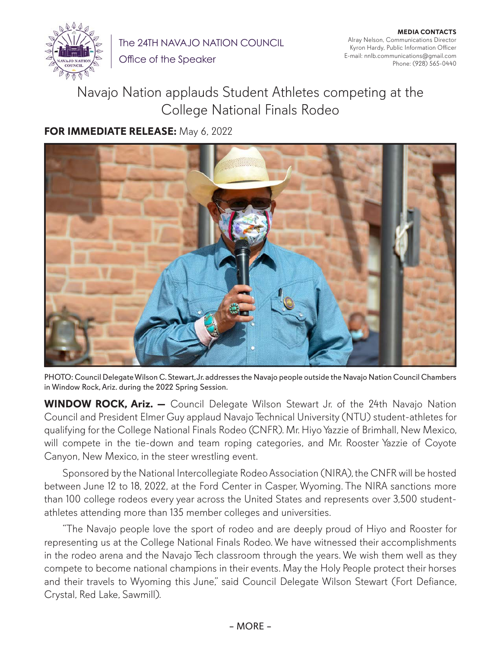

The 24TH NAVAJO NATION COUNCIL

Office of the Speaker

**MEDIA CONTACTS** Alray Nelson, Communications Director Kyron Hardy, Public Information Officer E-mail: nnlb.communications@gmail.com Phone: (928) 565-0440

## Navajo Nation applauds Student Athletes competing at the College National Finals Rodeo

## **FOR IMMEDIATE RELEASE:** May 6, 2022



PHOTO: Council Delegate Wilson C. Stewart, Jr. addresses the Navajo people outside the Navajo Nation Council Chambers in Window Rock, Ariz. during the 2022 Spring Session.

**WINDOW ROCK, Ariz.** - Council Delegate Wilson Stewart Jr. of the 24th Navajo Nation Council and President Elmer Guy applaud Navajo Technical University (NTU) student-athletes for qualifying for the College National Finals Rodeo (CNFR). Mr. Hiyo Yazzie of Brimhall, New Mexico, will compete in the tie-down and team roping categories, and Mr. Rooster Yazzie of Coyote Canyon, New Mexico, in the steer wrestling event.

Sponsored by the National Intercollegiate Rodeo Association (NIRA), the CNFR will be hosted between June 12 to 18, 2022, at the Ford Center in Casper, Wyoming. The NIRA sanctions more than 100 college rodeos every year across the United States and represents over 3,500 studentathletes attending more than 135 member colleges and universities.

"The Navajo people love the sport of rodeo and are deeply proud of Hiyo and Rooster for representing us at the College National Finals Rodeo. We have witnessed their accomplishments in the rodeo arena and the Navajo Tech classroom through the years. We wish them well as they compete to become national champions in their events. May the Holy People protect their horses and their travels to Wyoming this June," said Council Delegate Wilson Stewart (Fort Defiance, Crystal, Red Lake, Sawmill).